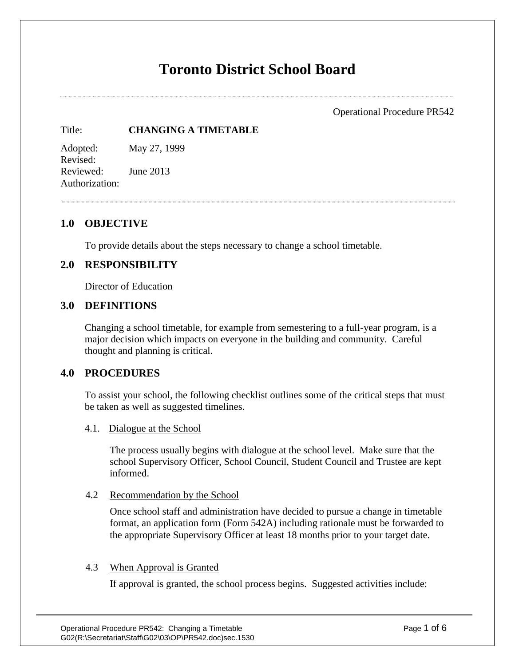# **Toronto District School Board**

Operational Procedure PR542

#### Title: **CHANGING A TIMETABLE**

Adopted: May 27, 1999 Revised: Reviewed: June 2013 Authorization:

# **1.0 OBJECTIVE**

To provide details about the steps necessary to change a school timetable.

# **2.0 RESPONSIBILITY**

Director of Education

#### **3.0 DEFINITIONS**

Changing a school timetable, for example from semestering to a full-year program, is a major decision which impacts on everyone in the building and community. Careful thought and planning is critical.

# **4.0 PROCEDURES**

To assist your school, the following checklist outlines some of the critical steps that must be taken as well as suggested timelines.

4.1. Dialogue at the School

The process usually begins with dialogue at the school level. Make sure that the school Supervisory Officer, School Council, Student Council and Trustee are kept informed.

#### 4.2 Recommendation by the School

Once school staff and administration have decided to pursue a change in timetable format, an application form (Form 542A) including rationale must be forwarded to the appropriate Supervisory Officer at least 18 months prior to your target date.

#### 4.3 When Approval is Granted

If approval is granted, the school process begins. Suggested activities include: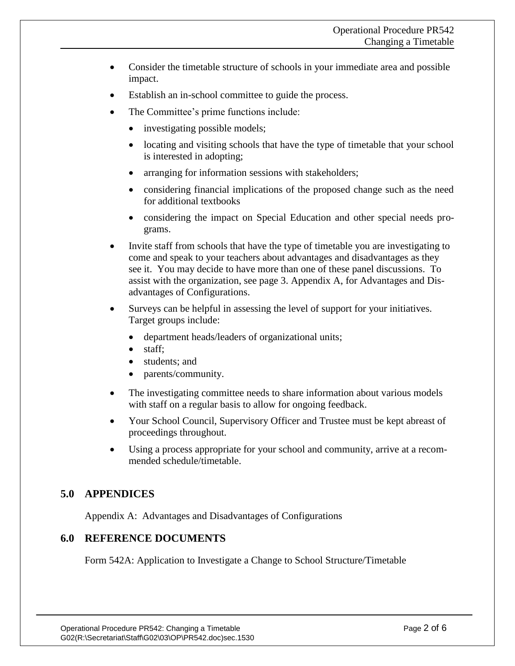- Consider the timetable structure of schools in your immediate area and possible impact.
- Establish an in-school committee to guide the process.
- The Committee's prime functions include:
	- investigating possible models;
	- locating and visiting schools that have the type of timetable that your school is interested in adopting;
	- arranging for information sessions with stakeholders;
	- considering financial implications of the proposed change such as the need for additional textbooks
	- considering the impact on Special Education and other special needs programs.
- Invite staff from schools that have the type of timetable you are investigating to come and speak to your teachers about advantages and disadvantages as they see it. You may decide to have more than one of these panel discussions. To assist with the organization, see page 3. Appendix A, for Advantages and Disadvantages of Configurations.
- Surveys can be helpful in assessing the level of support for your initiatives. Target groups include:
	- department heads/leaders of organizational units;
	- staff;
	- students; and
	- parents/community.
- The investigating committee needs to share information about various models with staff on a regular basis to allow for ongoing feedback.
- Your School Council, Supervisory Officer and Trustee must be kept abreast of proceedings throughout.
- Using a process appropriate for your school and community, arrive at a recommended schedule/timetable.

# **5.0 APPENDICES**

Appendix A: Advantages and Disadvantages of Configurations

# **6.0 REFERENCE DOCUMENTS**

Form 542A: Application to Investigate a Change to School Structure/Timetable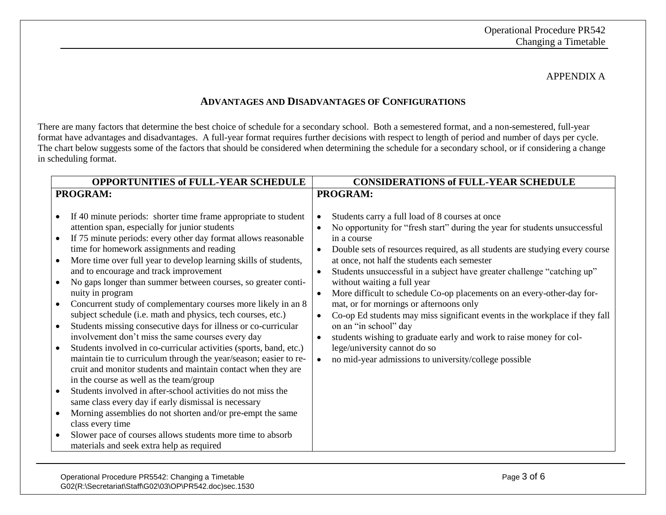#### APPENDIX A

# **ADVANTAGES AND DISADVANTAGES OF CONFIGURATIONS**

There are many factors that determine the best choice of schedule for a secondary school. Both a semestered format, and a non-semestered, full-year format have advantages and disadvantages. A full-year format requires further decisions with respect to length of period and number of days per cycle. The chart below suggests some of the factors that should be considered when determining the schedule for a secondary school, or if considering a change in scheduling format.

| <b>OPPORTUNITIES of FULL-YEAR SCHEDULE</b> |                                                                    |           | <b>CONSIDERATIONS of FULL-YEAR SCHEDULE</b>                                  |
|--------------------------------------------|--------------------------------------------------------------------|-----------|------------------------------------------------------------------------------|
| PROGRAM:                                   |                                                                    |           | PROGRAM:                                                                     |
|                                            |                                                                    |           |                                                                              |
| ٠                                          | If 40 minute periods: shorter time frame appropriate to student    |           | Students carry a full load of 8 courses at once                              |
|                                            | attention span, especially for junior students                     |           | No opportunity for "fresh start" during the year for students unsuccessful   |
| $\bullet$                                  | If 75 minute periods: every other day format allows reasonable     |           | in a course                                                                  |
|                                            | time for homework assignments and reading                          |           | Double sets of resources required, as all students are studying every course |
| $\bullet$                                  | More time over full year to develop learning skills of students,   |           | at once, not half the students each semester                                 |
|                                            | and to encourage and track improvement                             |           | Students unsuccessful in a subject have greater challenge "catching up"      |
| $\bullet$                                  | No gaps longer than summer between courses, so greater conti-      |           | without waiting a full year                                                  |
|                                            | nuity in program                                                   |           | More difficult to schedule Co-op placements on an every-other-day for-       |
|                                            | Concurrent study of complementary courses more likely in an 8      |           | mat, or for mornings or afternoons only                                      |
|                                            | subject schedule (i.e. math and physics, tech courses, etc.)       | $\bullet$ | Co-op Ed students may miss significant events in the workplace if they fall  |
| $\bullet$                                  | Students missing consecutive days for illness or co-curricular     |           | on an "in school" day                                                        |
|                                            | involvement don't miss the same courses every day                  |           | students wishing to graduate early and work to raise money for col-          |
| $\bullet$                                  | Students involved in co-curricular activities (sports, band, etc.) |           | lege/university cannot do so                                                 |
|                                            | maintain tie to curriculum through the year/season; easier to re-  |           | no mid-year admissions to university/college possible                        |
|                                            | cruit and monitor students and maintain contact when they are      |           |                                                                              |
|                                            | in the course as well as the team/group                            |           |                                                                              |
| $\bullet$                                  | Students involved in after-school activities do not miss the       |           |                                                                              |
|                                            | same class every day if early dismissal is necessary               |           |                                                                              |
| $\bullet$                                  | Morning assemblies do not shorten and/or pre-empt the same         |           |                                                                              |
|                                            | class every time                                                   |           |                                                                              |
| $\bullet$                                  | Slower pace of courses allows students more time to absorb         |           |                                                                              |
|                                            | materials and seek extra help as required                          |           |                                                                              |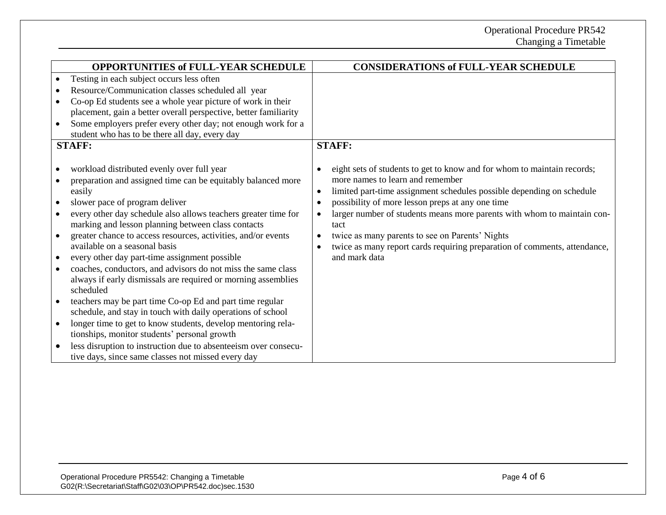| <b>OPPORTUNITIES of FULL-YEAR SCHEDULE</b>                                                                                                                                                                                                                                                                                                                                                                                                                                                                                                                                                                                                                                                                                                                                                                                                                                                                                                                                                              | <b>CONSIDERATIONS of FULL-YEAR SCHEDULE</b>                                                                                                                                                                                                                                                                                                                                                                                                                                                                                                   |
|---------------------------------------------------------------------------------------------------------------------------------------------------------------------------------------------------------------------------------------------------------------------------------------------------------------------------------------------------------------------------------------------------------------------------------------------------------------------------------------------------------------------------------------------------------------------------------------------------------------------------------------------------------------------------------------------------------------------------------------------------------------------------------------------------------------------------------------------------------------------------------------------------------------------------------------------------------------------------------------------------------|-----------------------------------------------------------------------------------------------------------------------------------------------------------------------------------------------------------------------------------------------------------------------------------------------------------------------------------------------------------------------------------------------------------------------------------------------------------------------------------------------------------------------------------------------|
| Testing in each subject occurs less often<br>Resource/Communication classes scheduled all year<br>Co-op Ed students see a whole year picture of work in their<br>placement, gain a better overall perspective, better familiarity<br>Some employers prefer every other day; not enough work for a<br>student who has to be there all day, every day<br><b>STAFF:</b>                                                                                                                                                                                                                                                                                                                                                                                                                                                                                                                                                                                                                                    | <b>STAFF:</b>                                                                                                                                                                                                                                                                                                                                                                                                                                                                                                                                 |
| workload distributed evenly over full year<br>preparation and assigned time can be equitably balanced more<br>easily<br>slower pace of program deliver<br>every other day schedule also allows teachers greater time for<br>marking and lesson planning between class contacts<br>greater chance to access resources, activities, and/or events<br>$\bullet$<br>available on a seasonal basis<br>every other day part-time assignment possible<br>$\bullet$<br>coaches, conductors, and advisors do not miss the same class<br>$\bullet$<br>always if early dismissals are required or morning assemblies<br>scheduled<br>teachers may be part time Co-op Ed and part time regular<br>schedule, and stay in touch with daily operations of school<br>longer time to get to know students, develop mentoring rela-<br>$\bullet$<br>tionships, monitor students' personal growth<br>less disruption to instruction due to absenteeism over consecu-<br>tive days, since same classes not missed every day | eight sets of students to get to know and for whom to maintain records;<br>$\bullet$<br>more names to learn and remember<br>limited part-time assignment schedules possible depending on schedule<br>$\bullet$<br>possibility of more lesson preps at any one time<br>$\bullet$<br>larger number of students means more parents with whom to maintain con-<br>$\bullet$<br>tact<br>twice as many parents to see on Parents' Nights<br>$\bullet$<br>twice as many report cards requiring preparation of comments, attendance,<br>and mark data |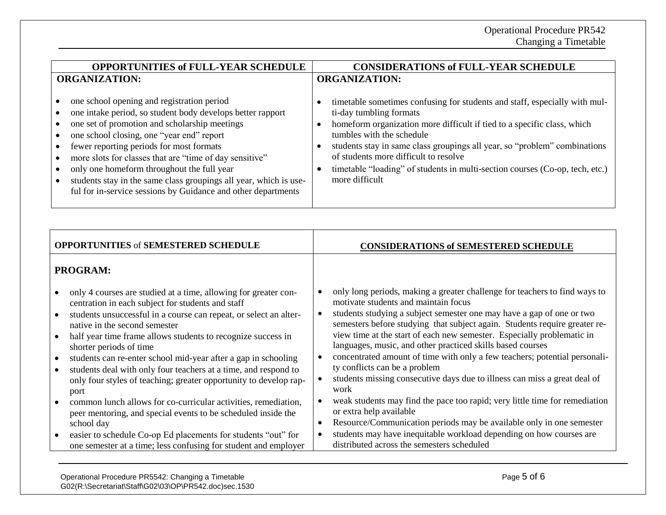| <b>OPPORTUNITIES of FULL-YEAR SCHEDULE</b>                                                                                                                                                                                                                                                                                                                                                                                                                                                        | <b>CONSIDERATIONS of FULL-YEAR SCHEDULE</b>                                                                                                                                                                                                                                                                                                                                                                                           |
|---------------------------------------------------------------------------------------------------------------------------------------------------------------------------------------------------------------------------------------------------------------------------------------------------------------------------------------------------------------------------------------------------------------------------------------------------------------------------------------------------|---------------------------------------------------------------------------------------------------------------------------------------------------------------------------------------------------------------------------------------------------------------------------------------------------------------------------------------------------------------------------------------------------------------------------------------|
| <b>ORGANIZATION:</b>                                                                                                                                                                                                                                                                                                                                                                                                                                                                              | <b>ORGANIZATION:</b>                                                                                                                                                                                                                                                                                                                                                                                                                  |
| one school opening and registration period<br>one intake period, so student body develops better rapport<br>one set of promotion and scholarship meetings<br>one school closing, one "year end" report<br>fewer reporting periods for most formats<br>more slots for classes that are "time of day sensitive"<br>only one homeform throughout the full year<br>students stay in the same class groupings all year, which is use-<br>ful for in-service sessions by Guidance and other departments | timetable sometimes confusing for students and staff, especially with mul-<br>ti-day tumbling formats<br>homeform organization more difficult if tied to a specific class, which<br>tumbles with the schedule<br>students stay in same class groupings all year, so "problem" combinations<br>of students more difficult to resolve<br>timetable "loading" of students in multi-section courses (Co-op, tech, etc.)<br>more difficult |

| <b>OPPORTUNITIES of SEMESTERED SCHEDULE</b>                                                                                                                                                                                                                                                                                                                                                                                                                                                                                                                                                                                                                                                                                                                                                                                                                                                   | <b>CONSIDERATIONS of SEMESTERED SCHEDULE</b>                                                                                                                                                                                                                                                                                                                                                                                                                                                                                                                                                                                                                                                                                                                                                                                                                                                                                                                                     |
|-----------------------------------------------------------------------------------------------------------------------------------------------------------------------------------------------------------------------------------------------------------------------------------------------------------------------------------------------------------------------------------------------------------------------------------------------------------------------------------------------------------------------------------------------------------------------------------------------------------------------------------------------------------------------------------------------------------------------------------------------------------------------------------------------------------------------------------------------------------------------------------------------|----------------------------------------------------------------------------------------------------------------------------------------------------------------------------------------------------------------------------------------------------------------------------------------------------------------------------------------------------------------------------------------------------------------------------------------------------------------------------------------------------------------------------------------------------------------------------------------------------------------------------------------------------------------------------------------------------------------------------------------------------------------------------------------------------------------------------------------------------------------------------------------------------------------------------------------------------------------------------------|
| <b>PROGRAM:</b>                                                                                                                                                                                                                                                                                                                                                                                                                                                                                                                                                                                                                                                                                                                                                                                                                                                                               |                                                                                                                                                                                                                                                                                                                                                                                                                                                                                                                                                                                                                                                                                                                                                                                                                                                                                                                                                                                  |
| only 4 courses are studied at a time, allowing for greater con-<br>$\bullet$<br>centration in each subject for students and staff<br>students unsuccessful in a course can repeat, or select an alter-<br>native in the second semester<br>half year time frame allows students to recognize success in<br>$\bullet$<br>shorter periods of time<br>students can re-enter school mid-year after a gap in schooling<br>$\bullet$<br>students deal with only four teachers at a time, and respond to<br>$\bullet$<br>only four styles of teaching; greater opportunity to develop rap-<br>port<br>common lunch allows for co-curricular activities, remediation,<br>$\bullet$<br>peer mentoring, and special events to be scheduled inside the<br>school day<br>easier to schedule Co-op Ed placements for students "out" for<br>one semester at a time; less confusing for student and employer | only long periods, making a greater challenge for teachers to find ways to<br>$\bullet$<br>motivate students and maintain focus<br>students studying a subject semester one may have a gap of one or two<br>semesters before studying that subject again. Students require greater re-<br>view time at the start of each new semester. Especially problematic in<br>languages, music, and other practiced skills based courses<br>concentrated amount of time with only a few teachers; potential personali-<br>$\bullet$<br>ty conflicts can be a problem<br>students missing consecutive days due to illness can miss a great deal of<br>work<br>weak students may find the pace too rapid; very little time for remediation<br>or extra help available<br>Resource/Communication periods may be available only in one semester<br>$\bullet$<br>students may have inequitable workload depending on how courses are<br>$\bullet$<br>distributed across the semesters scheduled |